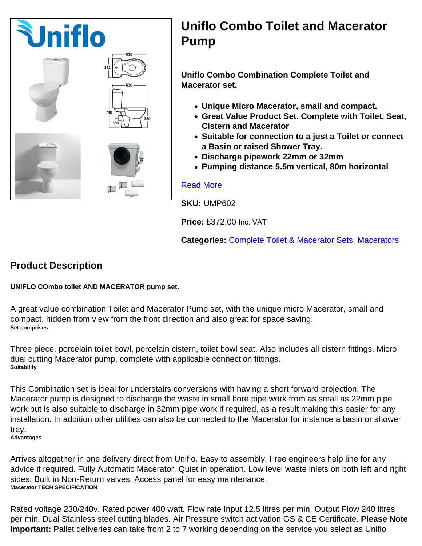## Uniflo Combo Toilet and Macerator Pump

Uniflo Combo Combination Complete Toilet and Macerator set.

- Unique Micro Macerator, small and compact.
- Great Value Product Set. Complete with Toilet, Seat, Cistern and Macerator
- Suitable for connection to a just a Toilet or connect a Basin or raised Shower Tray.
- Discharge pipework 22mm or 32mm
- Pumping distance 5.5m vertical, 80m horizontal

## [Read More](https://unifloproducts.co.uk/product/uniflo-combo-toilet-and-macerator-pump/)

SKU: UMP602

Price: £372.00 Inc. VAT

Categories: [Complete Toilet & Macerator Sets](https://unifloproducts.co.uk/product-category/macerators/toilet-macerator-sets/), [Macerators](https://unifloproducts.co.uk/product-category/macerators/)

Product Description

UNIFLO COmbo toilet AND MACERATOR pump set.

A great value combination Toilet and Macerator Pump set, with the unique micro Macerator, small and compact, hidden from view from the front direction and also great for space saving. Set comprises

Three piece, porcelain toilet bowl, porcelain cistern, toilet bowl seat. Also includes all cistern fittings. Micro dual cutting Macerator pump, complete with applicable connection fittings. **Suitability** 

This Combination set is ideal for understairs conversions with having a short forward projection. The Macerator pump is designed to discharge the waste in small bore pipe work from as small as 22mm pipe work but is also suitable to discharge in 32mm pipe work if required, as a result making this easier for any installation. In addition other utilities can also be connected to the Macerator for instance a basin or shower tray.

Advantages

Arrives altogether in one delivery direct from Uniflo. Easy to assembly. Free engineers help line for any advice if required. Fully Automatic Macerator. Quiet in operation. Low level waste inlets on both left and right sides. Built in Non-Return valves. Access panel for easy maintenance. Macerator TECH SPECIFICATION

Rated voltage 230/240v. Rated power 400 watt. Flow rate Input 12.5 litres per min. Output Flow 240 litres per min. Dual Stainless steel cutting blades. Air Pressure switch activation GS & CE Certificate. Please Note Important: Pallet deliveries can take from 2 to 7 working depending on the service you select as Uniflo